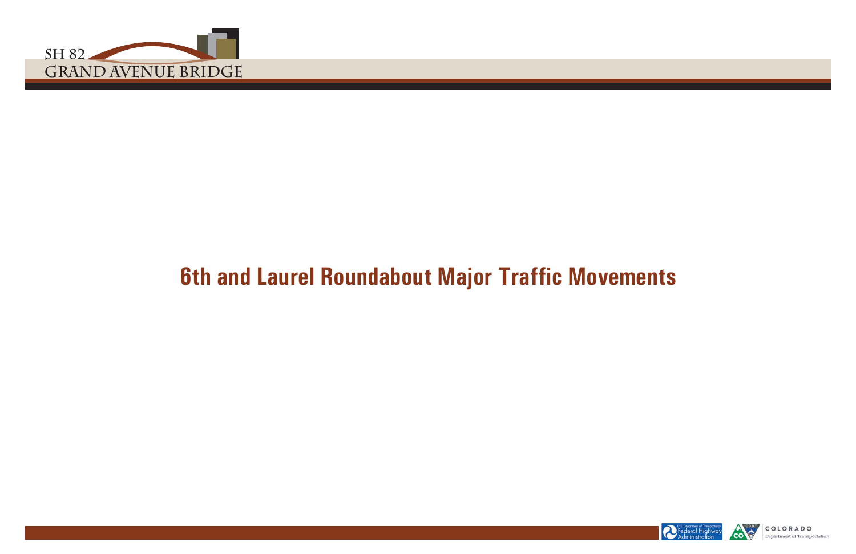

# **6th and Laurel Roundabout Major Traffic Movements**





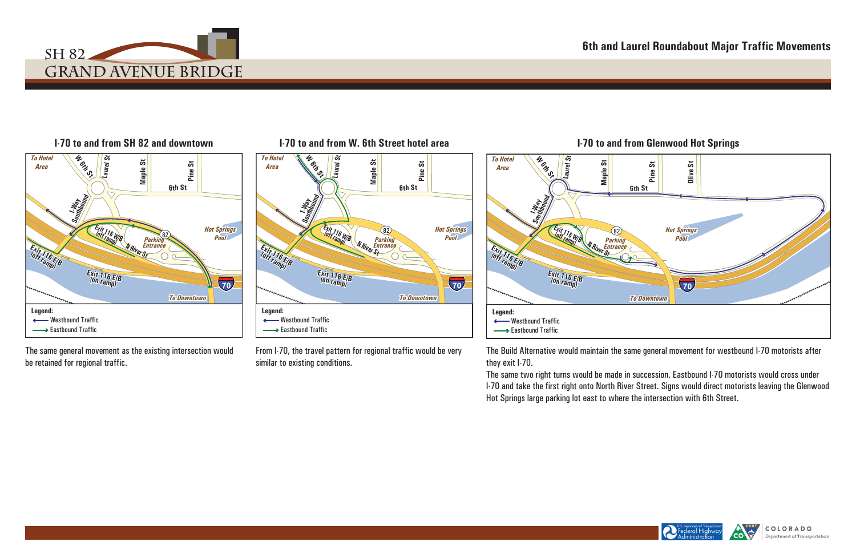







## **6th and Laurel Roundabout Major Traffic Movements**





The same general movement as the existing intersection would be retained for regional traffic.

From I-70, the travel pattern for regional traffic would be very similar to existing conditions.

The Build Alternative would maintain the same general movement for westbound I-70 motorists after they exit I-70.

The same two right turns would be made in succession. Eastbound I-70 motorists would cross under I-70 and take the first right onto North River Street. Signs would direct motorists leaving the Glenwood Hot Springs large parking lot east to where the intersection with 6th Street.

### **I-70 to and from SH 82 and downtown I-70 to and from W. 6th Street hotel area I-70 to and from Glenwood Hot Springs**